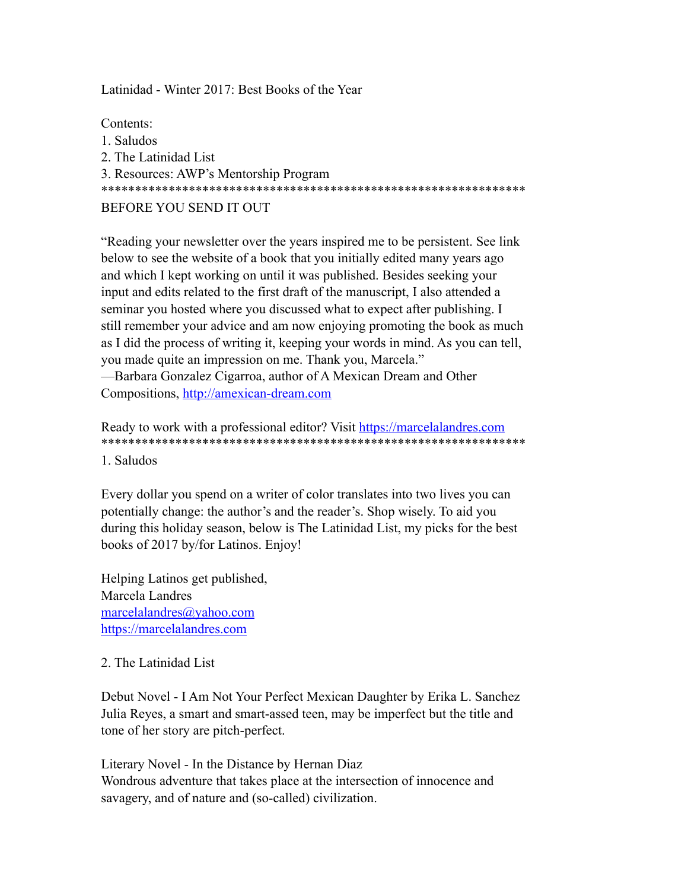Latinidad - Winter 2017: Best Books of the Year

Contents: 1. Saludos 2. The Latinidad List 3. Resources: AWP's Mentorship Program \*\*\*\*\*\*\*\*\*\*\*\*\*\*\*\*\*\*\*\*\*\*\*\*\*\*\*\*\*\*\*\*\*\*\*\*\*\*\*\*\*\*\*\*\*\*\*\*\*\*\*\*\*\*\*\*\*\*\*\*\*\*\* BEFORE YOU SEND IT OUT

"Reading your newsletter over the years inspired me to be persistent. See link below to see the website of a book that you initially edited many years ago and which I kept working on until it was published. Besides seeking your input and edits related to the first draft of the manuscript, I also attended a seminar you hosted where you discussed what to expect after publishing. I still remember your advice and am now enjoying promoting the book as much as I did the process of writing it, keeping your words in mind. As you can tell, you made quite an impression on me. Thank you, Marcela." —Barbara Gonzalez Cigarroa, author of A Mexican Dream and Other Compositions, <http://amexican-dream.com>

Ready to work with a professional editor? Visit <https://marcelalandres.com> \*\*\*\*\*\*\*\*\*\*\*\*\*\*\*\*\*\*\*\*\*\*\*\*\*\*\*\*\*\*\*\*\*\*\*\*\*\*\*\*\*\*\*\*\*\*\*\*\*\*\*\*\*\*\*\*\*\*\*\*\*\*\*

1. Saludos

Every dollar you spend on a writer of color translates into two lives you can potentially change: the author's and the reader's. Shop wisely. To aid you during this holiday season, below is The Latinidad List, my picks for the best books of 2017 by/for Latinos. Enjoy!

Helping Latinos get published, Marcela Landres [marcelalandres@yahoo.com](mailto:marcelalandres@yahoo.com)  <https://marcelalandres.com>

#### 2. The Latinidad List

Debut Novel - I Am Not Your Perfect Mexican Daughter by Erika L. Sanchez Julia Reyes, a smart and smart-assed teen, may be imperfect but the title and tone of her story are pitch-perfect.

Literary Novel - In the Distance by Hernan Diaz Wondrous adventure that takes place at the intersection of innocence and savagery, and of nature and (so-called) civilization.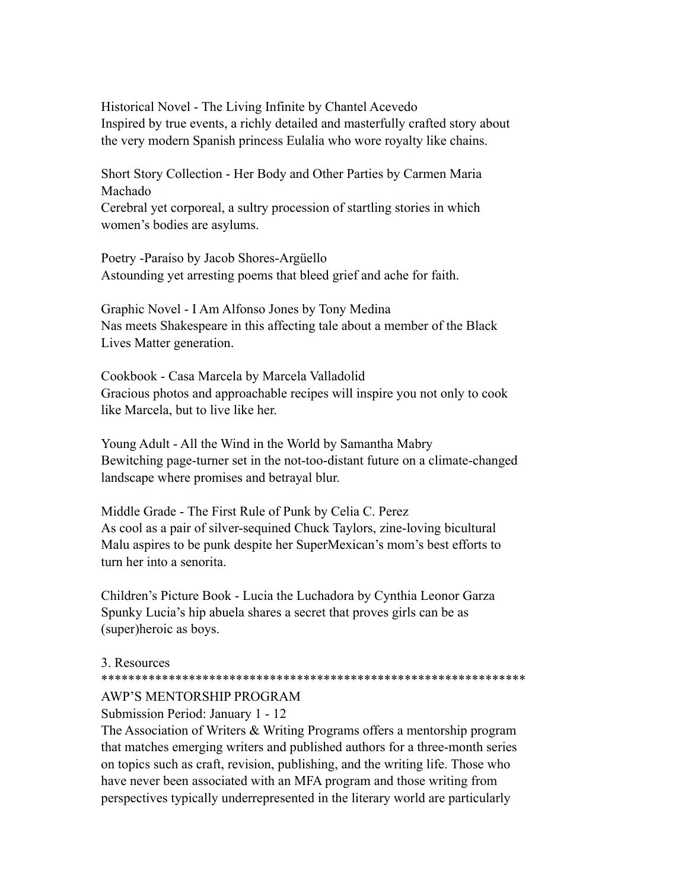Historical Novel - The Living Infinite by Chantel Acevedo Inspired by true events, a richly detailed and masterfully crafted story about the very modern Spanish princess Eulalia who wore royalty like chains.

Short Story Collection - Her Body and Other Parties by Carmen Maria Machado

Cerebral yet corporeal, a sultry procession of startling stories in which women's bodies are asylums.

Poetry -Paraíso by Jacob Shores-Argüello Astounding yet arresting poems that bleed grief and ache for faith.

Graphic Novel - I Am Alfonso Jones by Tony Medina Nas meets Shakespeare in this affecting tale about a member of the Black Lives Matter generation.

Cookbook - Casa Marcela by Marcela Valladolid Gracious photos and approachable recipes will inspire you not only to cook like Marcela, but to live like her.

Young Adult - All the Wind in the World by Samantha Mabry Bewitching page-turner set in the not-too-distant future on a climate-changed landscape where promises and betrayal blur.

Middle Grade - The First Rule of Punk by Celia C. Perez As cool as a pair of silver-sequined Chuck Taylors, zine-loving bicultural Malu aspires to be punk despite her SuperMexican's mom's best efforts to turn her into a senorita.

Children's Picture Book - Lucia the Luchadora by Cynthia Leonor Garza Spunky Lucia's hip abuela shares a secret that proves girls can be as (super)heroic as boys.

#### 3. Resources

#### \*\*\*\*\*\*\*\*\*\*\*\*\*\*\*\*\*\*\*\*\*\*\*\*\*\*\*\*\*\*\*\*\*\*\*\*\*\*\*\*\*\*\*\*\*\*\*\*\*\*\*\*\*\*\*\*\*\*\*\*\*\*\*

# AWP'S MENTORSHIP PROGRAM

Submission Period: January 1 - 12

The Association of Writers & Writing Programs offers a mentorship program that matches emerging writers and published authors for a three-month series on topics such as craft, revision, publishing, and the writing life. Those who have never been associated with an MFA program and those writing from perspectives typically underrepresented in the literary world are particularly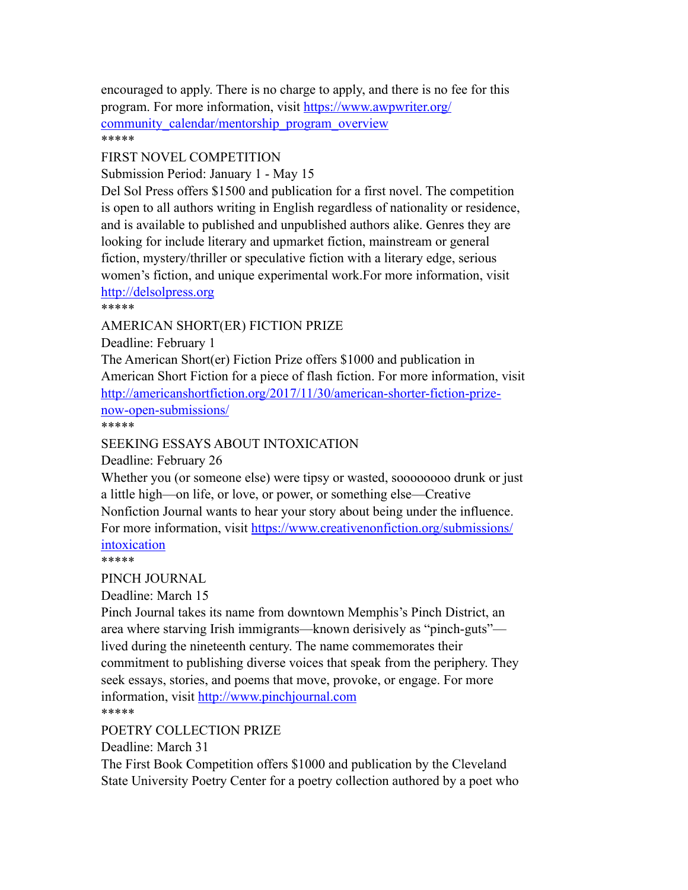encouraged to apply. There is no charge to apply, and there is no fee for this program. For more information, visit [https://www.awpwriter.org/](https://www.awpwriter.org/community_calendar/mentorship_program_overview) community calendar/mentorship program overview \*\*\*\*\*

# FIRST NOVEL COMPETITION

Submission Period: January 1 - May 15

Del Sol Press offers \$1500 and publication for a first novel. The competition is open to all authors writing in English regardless of nationality or residence, and is available to published and unpublished authors alike. Genres they are looking for include literary and upmarket fiction, mainstream or general fiction, mystery/thriller or speculative fiction with a literary edge, serious women's fiction, and unique experimental work.For more information, visit <http://delsolpress.org>

\*\*\*\*\*

### AMERICAN SHORT(ER) FICTION PRIZE

Deadline: February 1

The American Short(er) Fiction Prize offers \$1000 and publication in American Short Fiction for a piece of flash fiction. For more information, visit [http://americanshortfiction.org/2017/11/30/american-shorter-fiction-prize](http://americanshortfiction.org/2017/11/30/american-shorter-fiction-prize-now-open-submissions/)[now-open-submissions/](http://americanshortfiction.org/2017/11/30/american-shorter-fiction-prize-now-open-submissions/) \*\*\*\*\*

## SEEKING ESSAYS ABOUT INTOXICATION

Deadline: February 26

Whether you (or someone else) were tipsy or wasted, soooooooo drunk or just a little high—on life, or love, or power, or something else—Creative Nonfiction Journal wants to hear your story about being under the influence. For more information, visit [https://www.creativenonfiction.org/submissions/](https://www.creativenonfiction.org/submissions/intoxication) [intoxication](https://www.creativenonfiction.org/submissions/intoxication)

\*\*\*\*\*

#### PINCH JOURNAL

Deadline: March 15

Pinch Journal takes its name from downtown Memphis's Pinch District, an area where starving Irish immigrants—known derisively as "pinch-guts" lived during the nineteenth century. The name commemorates their commitment to publishing diverse voices that speak from the periphery. They seek essays, stories, and poems that move, provoke, or engage. For more information, visit<http://www.pinchjournal.com> \*\*\*\*\*

POETRY COLLECTION PRIZE

Deadline: March 31

The First Book Competition offers \$1000 and publication by the Cleveland State University Poetry Center for a poetry collection authored by a poet who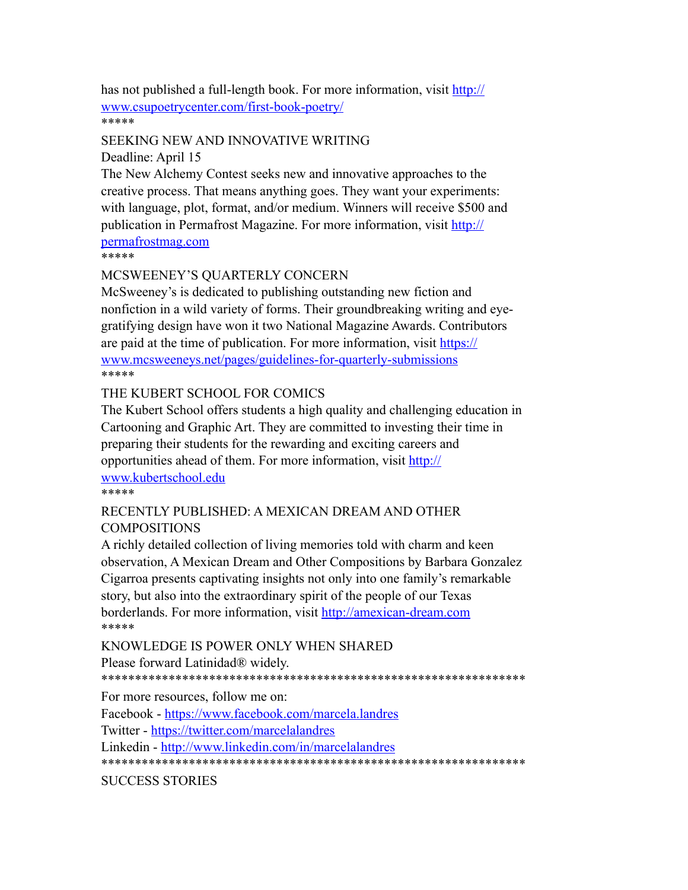has not published a full-length book. For more information, visit [http://](http://www.csupoetrycenter.com/first-book-poetry/) [www.csupoetrycenter.com/first-book-poetry/](http://www.csupoetrycenter.com/first-book-poetry/) \*\*\*\*\*

#### SEEKING NEW AND INNOVATIVE WRITING

Deadline: April 15

The New Alchemy Contest seeks new and innovative approaches to the creative process. That means anything goes. They want your experiments: with language, plot, format, and/or medium. Winners will receive \$500 and publication in Permafrost Magazine. For more information, visit [http://](http://permafrostmag.com) [permafrostmag.com](http://permafrostmag.com)

\*\*\*\*\*

### MCSWEENEY'S QUARTERLY CONCERN

McSweeney's is dedicated to publishing outstanding new fiction and nonfiction in a wild variety of forms. Their groundbreaking writing and eyegratifying design have won it two National Magazine Awards. Contributors are paid at the time of publication. For more information, visit [https://](https://www.mcsweeneys.net/pages/guidelines-for-quarterly-submissions) [www.mcsweeneys.net/pages/guidelines-for-quarterly-submissions](https://www.mcsweeneys.net/pages/guidelines-for-quarterly-submissions) \*\*\*\*\*

### THE KUBERT SCHOOL FOR COMICS

The Kubert School offers students a high quality and challenging education in Cartooning and Graphic Art. They are committed to investing their time in preparing their students for the rewarding and exciting careers and opportunities ahead of them. For more information, visit [http://](http://www.kubertschool.edu) [www.kubertschool.edu](http://www.kubertschool.edu)

#### \*\*\*\*\*

### RECENTLY PUBLISHED: A MEXICAN DREAM AND OTHER COMPOSITIONS

A richly detailed collection of living memories told with charm and keen observation, A Mexican Dream and Other Compositions by Barbara Gonzalez Cigarroa presents captivating insights not only into one family's remarkable story, but also into the extraordinary spirit of the people of our Texas borderlands. For more information, visit<http://amexican-dream.com> \*\*\*\*\*

KNOWLEDGE IS POWER ONLY WHEN SHARED Please forward Latinidad® widely.

\*\*\*\*\*\*\*\*\*\*\*\*\*\*\*\*\*\*\*\*\*\*\*\*\*\*\*\*\*\*\*\*\*\*\*\*\*\*\*\*\*\*\*\*\*\*\*\*\*\*\*\*\*\*\*\*\*\*\*\*\*\*\*

For more resources, follow me on:

Facebook - <https://www.facebook.com/marcela.landres>

Twitter -<https://twitter.com/marcelalandres>

Linkedin -<http://www.linkedin.com/in/marcelalandres>

\*\*\*\*\*\*\*\*\*\*\*\*\*\*\*\*\*\*\*\*\*\*\*\*\*\*\*\*\*\*\*\*\*\*\*\*\*\*\*\*\*\*\*\*\*\*\*\*\*\*\*\*\*\*\*\*\*\*\*\*\*\*\*

# SUCCESS STORIES